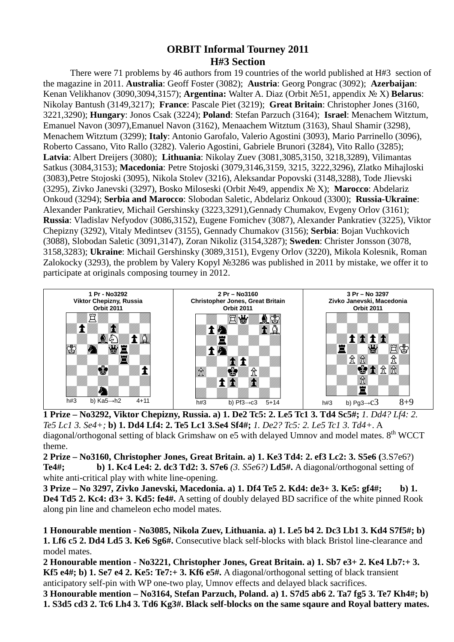## **ORBIT Informal Tourney 2011 H#3 Section**

 There were 71 problems by 46 authors from 19 countries of the world published at H#3 section of the magazine in 2011. **Australia**: Geoff Foster (3082); **Austria**: Georg Pongrac (3092); **Azerbaijan**: Kenan Velikhanov (3090,3094,3157); **Argentina:** Walter A. Diaz (Orbit №51, appendix № X) **Belarus**: Nikolay Bantush (3149,3217); **France**: Pascale Piet (3219); **Great Britain**: Christopher Jones (3160, 3221,3290); **Hungary**: Jonos Csak (3224); **Poland**: Stefan Parzuch (3164); **Israel**: Menachem Witztum, Emanuel Navon (3097),Emanuel Navon (3162), Menaachem Witztum (3163), Shaul Shamir (3298), Menachem Witztum (3299); **Italy**: Antonio Garofalo, Valerio Agostini (3093), Mario Parrinello (3096), Roberto Cassano, Vito Rallo (3282). Valerio Agostini, Gabriele Brunori (3284), Vito Rallo (3285); **Latvia**: Albert Dreijers (3080); **Lithuania**: Nikolay Zuev (3081,3085,3150, 3218,3289), Vilimantas Satkus (3084,3153); **Macedonia**: Petre Stojoski (3079,3146,3159, 3215, 3222,3296), Zlatko Mihajloski (3083),Petre Stojoski (3095), Nikola Stolev (3216), Aleksandar Popovski (3148,3288), Tode Jlievski (3295), Zivko Janevski (3297), Bosko Miloseski (Orbit №49, appendix № X); **Marocco**: Abdelariz Onkoud (3294); **Serbia and Marocco**: Slobodan Saletic, Abdelariz Onkoud (3300); **Russia-Ukraine**: Alexander Pankratiev, Michail Gershinsky (3223,3291),Gennady Chumakov, Evgeny Orlov (3161); **Russia**: Vladislav Nefyodov (3086,3152), Eugene Fomichev (3087), Alexander Pankratiev (3225), Viktor Chepizny (3292), Vitaly Medintsev (3155), Gennady Chumakov (3156); **Serbia**: Bojan Vuchkovich (3088), Slobodan Saletic (3091,3147), Zoran Nikoliz (3154,3287); **Sweden**: Christer Jonsson (3078, 3158,3283); **Ukraine**: Michail Gershinsky (3089,3151), Evgeny Orlov (3220), Mikola Kolesnik, Roman Zalokocky (3293), the problem by Valery Kopyl №3286 was published in 2011 by mistake, we offer it to participate at originals composing tourney in 2012.



**1 Prize – No3292, Viktor Chepizny, Russia. a) 1. De2 Tc5: 2. Le5 Tc1 3. Td4 Sc5#;** *1. Dd4? Lf4: 2. Te5 Lc1 3. Se4+;* **b) 1. Dd4 Lf4: 2. Te5 Lc1 3.Se4 Sf4#;** *1. De2? Tc5: 2. Le5 Tc1 3. Td4+.* A diagonal/orthogonal setting of black Grimshaw on  $e5$  with delayed Umnov and model mates.  $8<sup>th</sup> WCCT$ theme.

**2 Prize – No3160, Christopher Jones, Great Britain. a) 1. Ke3 Td4: 2. ef3 Lc2: 3. S5e6 (**3.S7e6?) **Te4#; b) 1. Kc4 Le4: 2. dc3 Td2: 3. S7e6** *(3. S5e6?)* **Ld5#.** A diagonal/orthogonal setting of white anti-critical play with white line-opening.

**3 Prize – No 3297, Zivko Janevski, Macedonia. a) 1. Df4 Te5 2. Kd4: de3+ 3. Ke5: gf4#; b) 1. De4 Td5 2. Kc4: d3+ 3. Kd5: fe4#.** A setting of doubly delayed BD sacrifice of the white pinned Rook along pin line and chameleon echo model mates.

**1 Honourable mention - No3085, Nikola Zuev, Lithuania. a) 1. Le5 b4 2. Dc3 Lb1 3. Kd4 S7f5#; b) 1. Lf6 c5 2. Dd4 Ld5 3. Ke6 Sg6#.** Consecutive black self-blocks with black Bristol line-clearance and model mates.

**2 Honourable mention - No3221, Christopher Jones, Great Britain. a) 1. Sb7 e3+ 2. Ke4 Lb7:+ 3. Kf5 e4#; b) 1. Se7 e4 2. Ke5: Te7:+ 3. Kf6 e5#.** A diagonal/orthogonal setting of black transient anticipatory self-pin with WP one-two play, Umnov effects and delayed black sacrifices.

**3 Honourable mention – No3164, Stefan Parzuch, Poland. a) 1. S7d5 ab6 2. Ta7 fg5 3. Te7 Kh4#; b) 1. S3d5 cd3 2. Tc6 Lh4 3. Td6 Kg3#. Black self-blocks on the same sqaure and Royal battery mates.**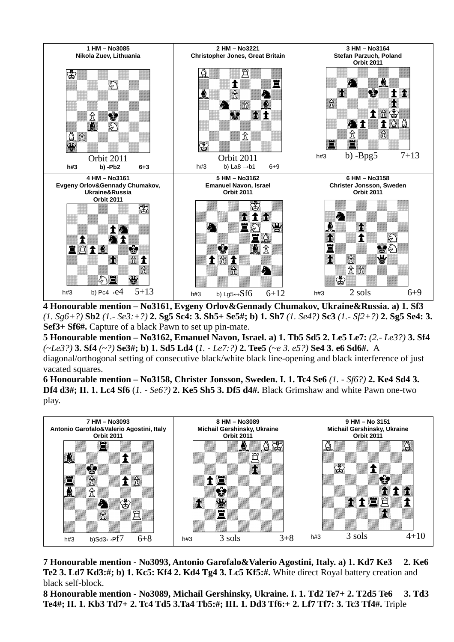

**4 Honourable mention – No3161, Evgeny Orlov&Gennady Chumakov, Ukraine&Russia. a) 1. Sf3**  *(1. Sg6+?)* **Sb2** *(1.- Se3:+?)* **2. Sg5 Sc4: 3. Sh5+ Se5#; b) 1. Sh7** *(1. Se4?)* **Sc3** *(1.- Sf2+?)* **2. Sg5 Se4: 3. Sef3+ Sf6#.** Capture of a black Pawn to set up pin-mate.

**5 Honourable mention – No3162, Emanuel Navon, Israel. a) 1. Tb5 Sd5 2. Le5 Le7:** *(2.- Le3?)* **3. Sf4**  *(~Le3?)* **3. Sf4** *(~?)* **Se3#; b) 1. Sd5 Ld4 (***1. - Le7:?)* **2. Tee5** *(~e 3. e5?)* **Se4 3. e6 Sd6#.** A

diagonal/orthogonal setting of consecutive black/white black line-opening and black interference of just vacated squares.

**6 Honourable mention – No3158, Christer Jonsson, Sweden. I. 1. Tc4 Se6** *(1. - Sf6?)* **2. Ke4 Sd4 3. Df4 d3#; II. 1. Lc4 Sf6** (*1. - Se6?)* **2. Ke5 Sh5 3. Df5 d4#.** Black Grimshaw and white Pawn one-two play.



**7 Honourable mention - No3093, Antonio Garofalo&Valerio Agostini, Italy. a) 1. Kd7 Ke3 2. Ke6 Te2 3. Ld7 Kd3:#; b) 1. Kc5: Kf4 2. Kd4 Tg4 3. Lc5 Kf5:#.** White direct Royal battery creation and black self-block.

**8 Honourable mention - No3089, Michail Gershinsky, Ukraine. I. 1. Td2 Te7+ 2. T2d5 Te6 3. Td3 Te4#; II. 1. Kb3 Td7+ 2. Tc4 Td5 3.Ta4 Tb5:#; III. 1. Dd3 Tf6:+ 2. Lf7 Tf7: 3. Tc3 Tf4#.** Triple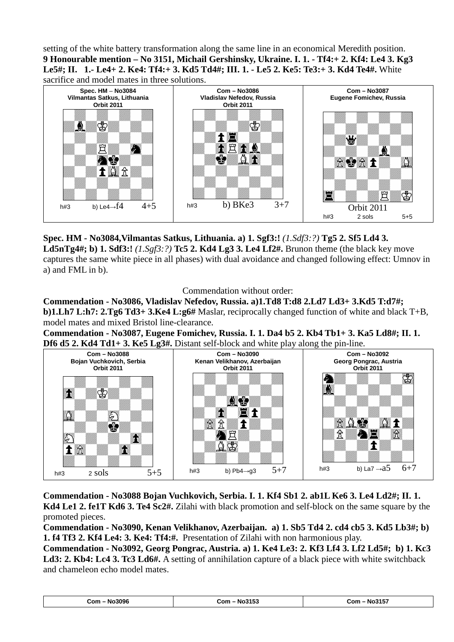setting of the white battery transformation along the same line in an economical Meredith position. **9 Honourable mention – No 3151, Michail Gershinsky, Ukraine. I. 1. - Tf4:+ 2. Kf4: Le4 3. Kg3 Le5#; II. 1.- Le4+ 2. Ke4: Tf4:+ 3. Kd5 Td4#; III. 1. - Le5 2. Ke5: Te3:+ 3. Kd4 Te4#.** White



**Spec. HM - No3084,Vilmantas Satkus, Lithuania. a) 1. Sgf3:!** *(1.Sdf3:?)* **Tg5 2. Sf5 Ld4 3. Ld5nTg4#; b) 1. Sdf3:!** *(1.Sgf3:?)* **Tc5 2. Kd4 Lg3 3. Le4 Lf2#.** Brunon theme (the black key move captures the same white piece in all phases) with dual avoidance and changed following effect: Umnov in a) and FML in b).

Commendation without order:

**Commendation - No3086, Vladislav Nefedov, Russia. a)1.Td8 T:d8 2.Ld7 Ld3+ 3.Kd5 T:d7#; b)1.Lh7 L:h7: 2.Tg6 Td3+ 3.Ke4 L:g6#** Maslar, reciprocally changed function of white and black T+B, model mates and mixed Bristol line-clearance.

**Commendation - No3087, Eugene Fomichev, Russia. I. 1. Da4 b5 2. Kb4 Tb1+ 3. Ka5 Ld8#; II. 1. Df6 d5 2. Kd4 Td1+ 3. Ke5 Lg3#.** Distant self-block and white play along the pin-line.



**Commendation - No3088 Bojan Vuchkovich, Serbia. I. 1. Kf4 Sb1 2. ab1L Ke6 3. Le4 Ld2#; II. 1. Kd4 Le1 2. fe1T Kd6 3. Te4 Sc2#.** Zilahi with black promotion and self-block on the same square by the promoted pieces.

**Commendation - No3090, Kenan Velikhanov, Azerbaijan. a) 1. Sb5 Td4 2. cd4 cb5 3. Kd5 Lb3#; b) 1. f4 Tf3 2. Kf4 Le4: 3. Ke4: Tf4:#.** Presentation of Zilahi with non harmonious play.

**Commendation - No3092, Georg Pongrac, Austria. a) 1. Ke4 Le3: 2. Kf3 Lf4 3. Lf2 Ld5#; b) 1. Kc3 Ld3: 2. Kb4: Lc4 3. Tc3 Ld6#.** A setting of annihilation capture of a black piece with white switchback and chameleon echo model mates.

| Com - No3096 | Com - No3153 | - No3157<br>Com |
|--------------|--------------|-----------------|
|--------------|--------------|-----------------|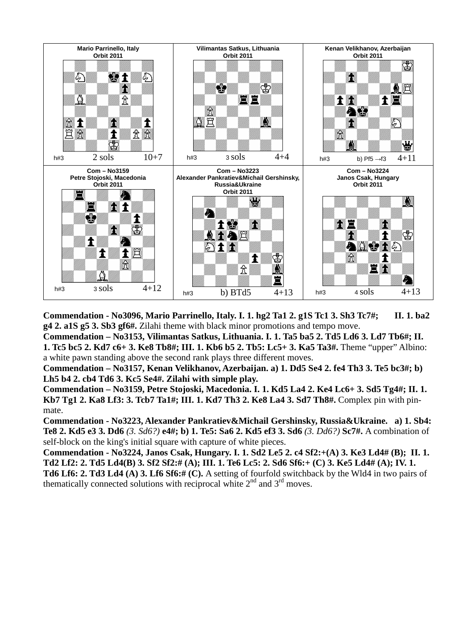

**Commendation - No3096, Mario Parrinello, Italy. I. 1. hg2 Ta1 2. g1S Tc1 3. Sh3 Tc7#; II. 1. ba2 g4 2. a1S g5 3. Sb3 gf6#.** Zilahi theme with black minor promotions and tempo move.

**Commendation – No3153, Vilimantas Satkus, Lithuania. I. 1. Ta5 ba5 2. Td5 Ld6 3. Ld7 Tb6#; II. 1. Tc5 bc5 2. Kd7 c6+ 3. Ke8 Tb8#; III. 1. Kb6 b5 2. Tb5: Lc5+ 3. Ka5 Ta3#.** Theme "upper" Albino: a white pawn standing above the second rank plays three different moves.

**Commendation – No3157, Kenan Velikhanov, Azerbaijan. a) 1. Dd5 Se4 2. fe4 Th3 3. Te5 bc3#; b) Lh5 b4 2. cb4 Td6 3. Kc5 Se4#. Zilahi with simple play.** 

**Commendation – No3159, Petre Stojoski, Macedonia. I. 1. Kd5 La4 2. Ke4 Lc6+ 3. Sd5 Tg4#; II. 1. Kb7 Tg1 2. Ka8 Lf3: 3. Tcb7 Ta1#; III. 1. Kd7 Th3 2. Ke8 La4 3. Sd7 Th8#.** Complex pin with pinmate.

**Commendation - No3223, Alexander Pankratiev&Michail Gershinsky, Russia&Ukraine. a) 1. Sb4: Te8 2. Kd5 e3 3. Dd6** *(3. Sd6?)* **e4#; b) 1. Te5: Sa6 2. Kd5 ef3 3. Sd6** *(3. Dd6?)* **Sc7#.** A combination of self-block on the king's initial square with capture of white pieces.

**Commendation - No3224, Janos Csak, Hungary. I. 1. Sd2 Le5 2. c4 Sf2:+(A) 3. Ke3 Ld4# (B); II. 1. Td2 Lf2: 2. Td5 Ld4(B) 3. Sf2 Sf2:# (A); III. 1. Te6 Lc5: 2. Sd6 Sf6:+ (C) 3. Ke5 Ld4# (A); IV. 1. Td6 Lf6: 2. Td3 Ld4 (A) 3. Lf6 Sf6:# (C).** A setting of fourfold switchback by the Wld4 in two pairs of thematically connected solutions with reciprocal white  $2<sup>nd</sup>$  and  $3<sup>rd</sup>$  moves.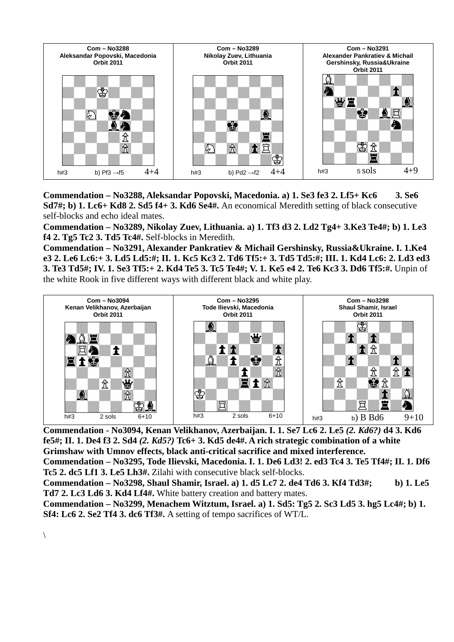

**Commendation – No3288, Aleksandar Popovski, Macedonia. a) 1. Se3 fe3 2. Lf5+ Kc6 3. Se6 Sd7#; b) 1. Lc6+ Kd8 2. Sd5 f4+ 3. Kd6 Se4#.** An economical Meredith setting of black consecutive self-blocks and echo ideal mates.

**Commendation – No3289, Nikolay Zuev, Lithuania. a) 1. Tf3 d3 2. Ld2 Tg4+ 3.Ke3 Te4#; b) 1. Le3 f4 2. Tg5 Tc2 3. Td5 Tc4#.** Self-blocks in Meredith.

**Commendation – No3291, Alexander Pankratiev & Michail Gershinsky, Russia&Ukraine. I. 1.Ke4 e3 2. Le6 Lc6:+ 3. Ld5 Ld5:#; II. 1. Kc5 Kc3 2. Td6 Tf5:+ 3. Td5 Td5:#; III. 1. Kd4 Lc6: 2. Ld3 ed3 3. Te3 Td5#; IV. 1. Se3 Tf5:+ 2. Kd4 Te5 3. Tc5 Te4#; V. 1. Ke5 e4 2. Te6 Kc3 3. Dd6 Tf5:#.** Unpin of the white Rook in five different ways with different black and white play.



**Commendation - No3094, Kenan Velikhanov, Azerbaijan. I. 1. Se7 Lc6 2. Le5** *(2. Kd6?)* **d4 3. Kd6 fe5#; II. 1. De4 f3 2. Sd4** *(2. Kd5?)* **Tc6+ 3. Kd5 de4#. A rich strategic combination of a white Grimshaw with Umnov effects, black anti-critical sacrifice and mixed interference. Commendation – No3295, Tode Ilievski, Macedonia. I. 1. De6 Ld3! 2. ed3 Tc4 3. Te5 Tf4#; II. 1. Df6 Tc5 2. dc5 Lf1 3. Le5 Lh3#.** Zilahi with consecutive black self-blocks.

**Commendation – No3298, Shaul Shamir, Israel. a) 1. d5 Lc7 2. de4 Td6 3. Kf4 Td3#; b) 1. Le5 Td7 2. Lc3 Ld6 3. Kd4 Lf4#.** White battery creation and battery mates.

**Commendation – No3299, Menachem Witztum, Israel. a) 1. Sd5: Tg5 2. Sc3 Ld5 3. hg5 Lc4#; b) 1. Sf4: Lc6 2. Se2 Tf4 3. dc6 Tf3#.** A setting of tempo sacrifices of WT/L.